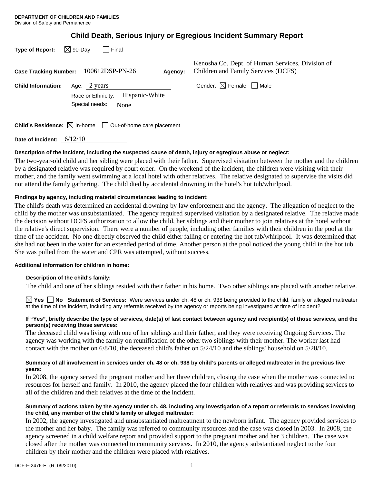|  |  | <b>Child Death, Serious Injury or Egregious Incident Summary Report</b> |  |
|--|--|-------------------------------------------------------------------------|--|
|  |  |                                                                         |  |

| $\boxtimes$ 90-Day<br><b>Type of Report:</b><br>Case Tracking Number: 100612DSP-PN-26 | Agency:                                   | Kenosha Co. Dept. of Human Services, Division of<br>Children and Family Services (DCFS) |
|---------------------------------------------------------------------------------------|-------------------------------------------|-----------------------------------------------------------------------------------------|
| <b>Child Information:</b><br>Age: 2 years<br>Special needs:                           | Race or Ethnicity: Hispanic-White<br>None | Gender: $\boxtimes$ Female $\Box$ Male                                                  |
| <b>Child's Residence:</b> $\boxtimes$ In-home $\Box$ Out-of-home care placement       |                                           |                                                                                         |

**Date of Incident:** 6/12/10

# **Description of the incident, including the suspected cause of death, injury or egregious abuse or neglect:**

The two-year-old child and her sibling were placed with their father. Supervised visitation between the mother and the children by a designated relative was required by court order. On the weekend of the incident, the children were visiting with their mother, and the family went swimming at a local hotel with other relatives. The relative designated to supervise the visits did not attend the family gathering. The child died by accidental drowning in the hotel's hot tub/whirlpool.

# **Findings by agency, including material circumstances leading to incident:**

The child's death was determined an accidental drowning by law enforcement and the agency. The allegation of neglect to the child by the mother was unsubstantiated. The agency required supervised visitation by a designated relative. The relative made the decision without DCFS authorization to allow the child, her siblings and their mother to join relatives at the hotel without the relative's direct supervision. There were a number of people, including other families with their children in the pool at the time of the accident. No one directly observed the child either falling or entering the hot tub/whirlpool. It was determined that she had not been in the water for an extended period of time. Another person at the pool noticed the young child in the hot tub. She was pulled from the water and CPR was attempted, without success.

# **Additional information for children in home:**

# **Description of the child's family:**

The child and one of her siblings resided with their father in his home. Two other siblings are placed with another relative.

**Yes No Statement of Services:** Were services under ch. 48 or ch. 938 being provided to the child, family or alleged maltreater at the time of the incident, including any referrals received by the agency or reports being investigated at time of incident?

## **If "Yes", briefly describe the type of services, date(s) of last contact between agency and recipient(s) of those services, and the person(s) receiving those services:**

The deceased child was living with one of her siblings and their father, and they were receiving Ongoing Services. The agency was working with the family on reunification of the other two siblings with their mother. The worker last had contact with the mother on 6/8/10, the deceased child's father on 5/24/10 and the siblings' household on 5/28/10.

## **Summary of all involvement in services under ch. 48 or ch. 938 by child's parents or alleged maltreater in the previous five years:**

In 2008, the agency served the pregnant mother and her three children, closing the case when the mother was connected to resources for herself and family. In 2010, the agency placed the four children with relatives and was providing services to all of the children and their relatives at the time of the incident.

# **Summary of actions taken by the agency under ch. 48, including any investigation of a report or referrals to services involving the child, any member of the child's family or alleged maltreater:**

In 2002, the agency investigated and unsubstantiated maltreatment to the newborn infant. The agency provided services to the mother and her baby. The family was referred to community resources and the case was closed in 2003. In 2008, the agency screened in a child welfare report and provided support to the pregnant mother and her 3 children. The case was closed after the mother was connected to community services. In 2010, the agency substantiated neglect to the four children by their mother and the children were placed with relatives.